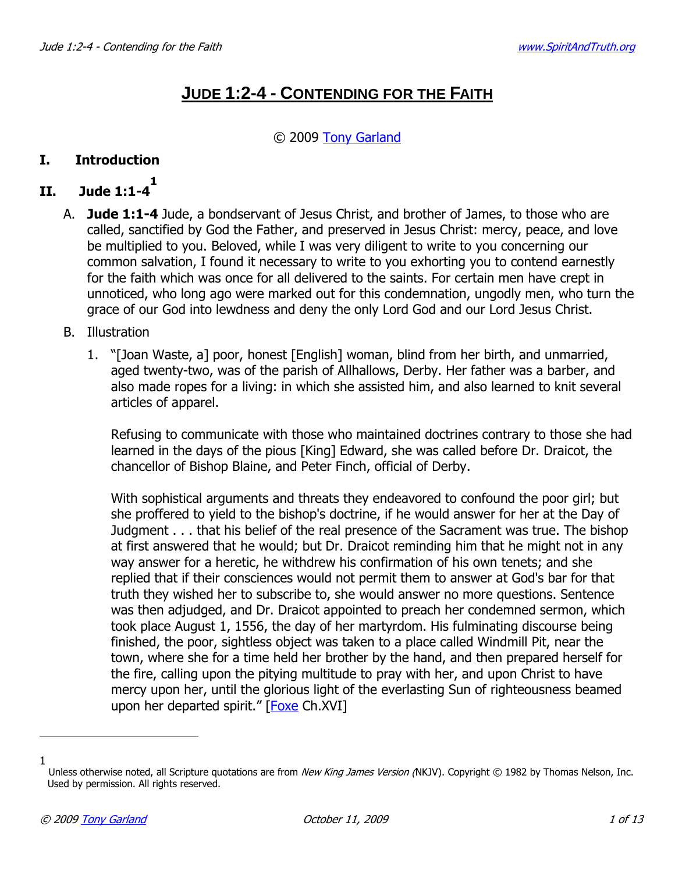# **JUDE 1:2-4 - CONTENDING FOR THE FAITH**

#### © 2009 Tony Garland

#### **I. Introduction**

#### **II. Jude 1:1-4 1**

- A. **Jude 1:1-4** Jude, a bondservant of Jesus Christ, and brother of James, to those who are called, sanctified by God the Father, and preserved in Jesus Christ: mercy, peace, and love be multiplied to you. Beloved, while I was very diligent to write to you concerning our common salvation, I found it necessary to write to you exhorting you to contend earnestly for the faith which was once for all delivered to the saints. For certain men have crept in unnoticed, who long ago were marked out for this condemnation, ungodly men, who turn the grace of our God into lewdness and deny the only Lord God and our Lord Jesus Christ.
- B. Illustration
	- 1. "[Joan Waste, a] poor, honest [English] woman, blind from her birth, and unmarried, aged twenty-two, was of the parish of Allhallows, Derby. Her father was a barber, and also made ropes for a living: in which she assisted him, and also learned to knit several articles of apparel.

Refusing to communicate with those who maintained doctrines contrary to those she had learned in the days of the pious [King] Edward, she was called before Dr. Draicot, the chancellor of Bishop Blaine, and Peter Finch, official of Derby.

With sophistical arguments and threats they endeavored to confound the poor girl; but she proffered to yield to the bishop's doctrine, if he would answer for her at the Day of Judgment . . . that his belief of the real presence of the Sacrament was true. The bishop at first answered that he would; but Dr. Draicot reminding him that he might not in any way answer for a heretic, he withdrew his confirmation of his own tenets; and she replied that if their consciences would not permit them to answer at God's bar for that truth they wished her to subscribe to, she would answer no more questions. Sentence was then adjudged, and Dr. Draicot appointed to preach her condemned sermon, which took place August 1, 1556, the day of her martyrdom. His fulminating discourse being finished, the poor, sightless object was taken to a place called Windmill Pit, near the town, where she for a time held her brother by the hand, and then prepared herself for the fire, calling upon the pitying multitude to pray with her, and upon Christ to have mercy upon her, until the glorious light of the everlasting Sun of righteousness beamed upon her departed spirit." [Foxe Ch.XVI]

l

<sup>1</sup> Unless otherwise noted, all Scripture quotations are from New King James Version (NKJV). Copyright © 1982 by Thomas Nelson, Inc. Used by permission. All rights reserved.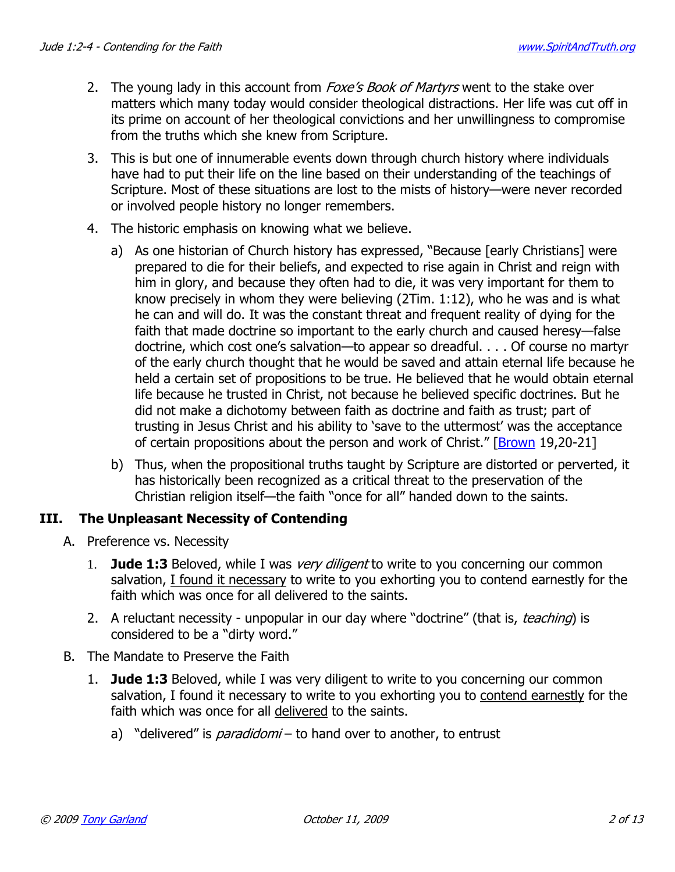- 2. The young lady in this account from *Foxe's Book of Martyrs* went to the stake over matters which many today would consider theological distractions. Her life was cut off in its prime on account of her theological convictions and her unwillingness to compromise from the truths which she knew from Scripture.
- 3. This is but one of innumerable events down through church history where individuals have had to put their life on the line based on their understanding of the teachings of Scripture. Most of these situations are lost to the mists of history—were never recorded or involved people history no longer remembers.
- 4. The historic emphasis on knowing what we believe.
	- a) As one historian of Church history has expressed, "Because [early Christians] were prepared to die for their beliefs, and expected to rise again in Christ and reign with him in glory, and because they often had to die, it was very important for them to know precisely in whom they were believing (2Tim. 1:12), who he was and is what he can and will do. It was the constant threat and frequent reality of dying for the faith that made doctrine so important to the early church and caused heresy—false doctrine, which cost one's salvation—to appear so dreadful. . . . Of course no martyr of the early church thought that he would be saved and attain eternal life because he held a certain set of propositions to be true. He believed that he would obtain eternal life because he trusted in Christ, not because he believed specific doctrines. But he did not make a dichotomy between faith as doctrine and faith as trust; part of trusting in Jesus Christ and his ability to 'save to the uttermost' was the acceptance of certain propositions about the person and work of Christ." [Brown 19,20-21]
	- b) Thus, when the propositional truths taught by Scripture are distorted or perverted, it has historically been recognized as a critical threat to the preservation of the Christian religion itself—the faith "once for all" handed down to the saints.

### **III. The Unpleasant Necessity of Contending**

- A. Preference vs. Necessity
	- 1. **Jude 1:3** Beloved, while I was very diligent to write to you concerning our common salvation, I found it necessary to write to you exhorting you to contend earnestly for the faith which was once for all delivered to the saints.
	- 2. A reluctant necessity unpopular in our day where "doctrine" (that is, *teaching*) is considered to be a "dirty word."
- B. The Mandate to Preserve the Faith
	- 1. **Jude 1:3** Beloved, while I was very diligent to write to you concerning our common salvation, I found it necessary to write to you exhorting you to contend earnestly for the faith which was once for all delivered to the saints.
		- a) "delivered" is *paradidomi* to hand over to another, to entrust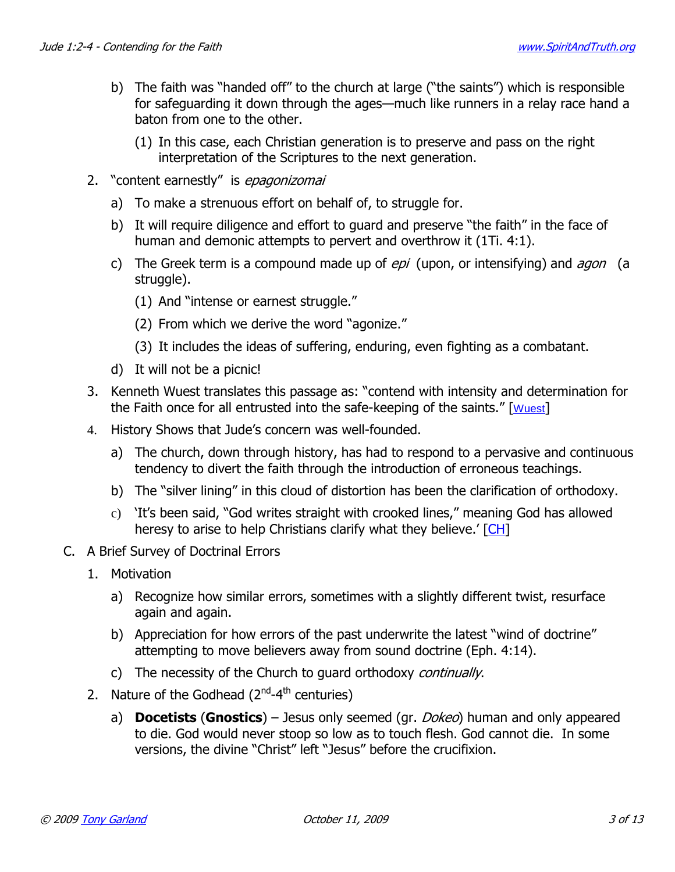- b) The faith was "handed off" to the church at large ("the saints") which is responsible for safeguarding it down through the ages—much like runners in a relay race hand a baton from one to the other.
	- (1) In this case, each Christian generation is to preserve and pass on the right interpretation of the Scriptures to the next generation.
- 2. "content earnestly" is epagonizomai
	- a) To make a strenuous effort on behalf of, to struggle for.
	- b) It will require diligence and effort to guard and preserve "the faith" in the face of human and demonic attempts to pervert and overthrow it (1Ti. 4:1).
	- c) The Greek term is a compound made up of  $epi$  (upon, or intensifying) and  $agon$  (a struggle).
		- (1) And "intense or earnest struggle."
		- (2) From which we derive the word "agonize."
		- (3) It includes the ideas of suffering, enduring, even fighting as a combatant.
	- d) It will not be a picnic!
- 3. Kenneth Wuest translates this passage as: "contend with intensity and determination for the Faith once for all entrusted into the safe-keeping of the saints." [Wuest]
- 4. History Shows that Jude's concern was well-founded.
	- a) The church, down through history, has had to respond to a pervasive and continuous tendency to divert the faith through the introduction of erroneous teachings.
	- b) The "silver lining" in this cloud of distortion has been the clarification of orthodoxy.
	- c) 'It's been said, "God writes straight with crooked lines," meaning God has allowed heresy to arise to help Christians clarify what they believe.' [CH]
- C. A Brief Survey of Doctrinal Errors
	- 1. Motivation
		- a) Recognize how similar errors, sometimes with a slightly different twist, resurface again and again.
		- b) Appreciation for how errors of the past underwrite the latest "wind of doctrine" attempting to move believers away from sound doctrine (Eph. 4:14).
		- c) The necessity of the Church to guard orthodoxy *continually*.
	- 2. Nature of the Godhead  $(2^{nd}-4^{th})$  centuries)
		- a) **Docetists** (**Gnostics**) Jesus only seemed (gr. Dokeo) human and only appeared to die. God would never stoop so low as to touch flesh. God cannot die. In some versions, the divine "Christ" left "Jesus" before the crucifixion.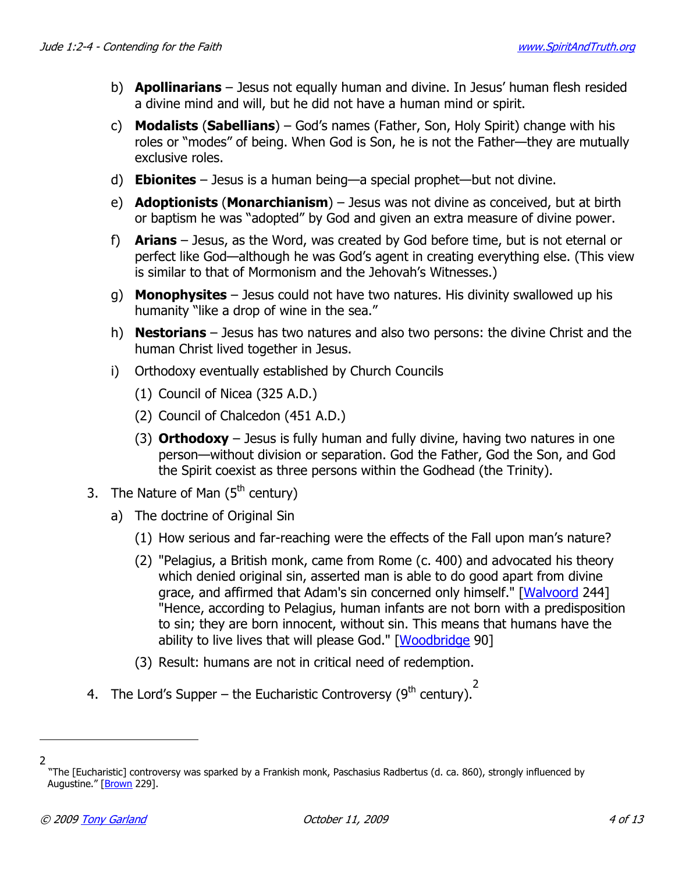- b) **Apollinarians** Jesus not equally human and divine. In Jesus' human flesh resided a divine mind and will, but he did not have a human mind or spirit.
- c) **Modalists** (**Sabellians**) God's names (Father, Son, Holy Spirit) change with his roles or "modes" of being. When God is Son, he is not the Father—they are mutually exclusive roles.
- d) **Ebionites** Jesus is a human being—a special prophet—but not divine.
- e) **Adoptionists** (**Monarchianism**) Jesus was not divine as conceived, but at birth or baptism he was "adopted" by God and given an extra measure of divine power.
- f) **Arians** Jesus, as the Word, was created by God before time, but is not eternal or perfect like God—although he was God's agent in creating everything else. (This view is similar to that of Mormonism and the Jehovah's Witnesses.)
- g) **Monophysites** Jesus could not have two natures. His divinity swallowed up his humanity "like a drop of wine in the sea."
- h) **Nestorians** Jesus has two natures and also two persons: the divine Christ and the human Christ lived together in Jesus.
- i) Orthodoxy eventually established by Church Councils
	- (1) Council of Nicea (325 A.D.)
	- (2) Council of Chalcedon (451 A.D.)
	- (3) **Orthodoxy** Jesus is fully human and fully divine, having two natures in one person—without division or separation. God the Father, God the Son, and God the Spirit coexist as three persons within the Godhead (the Trinity).
- 3. The Nature of Man  $(5<sup>th</sup>$  century)
	- a) The doctrine of Original Sin
		- (1) How serious and far-reaching were the effects of the Fall upon man's nature?
		- (2) "Pelagius, a British monk, came from Rome (c. 400) and advocated his theory which denied original sin, asserted man is able to do good apart from divine grace, and affirmed that Adam's sin concerned only himself." [Walvoord 244] "Hence, according to Pelagius, human infants are not born with a predisposition to sin; they are born innocent, without sin. This means that humans have the ability to live lives that will please God." [Woodbridge 90]
		- (3) Result: humans are not in critical need of redemption.
- 4. The Lord's Supper the Eucharistic Controversy (9<sup>th</sup> century).<sup>2</sup>

 $\overline{a}$ 2

 <sup>&</sup>quot;The [Eucharistic] controversy was sparked by a Frankish monk, Paschasius Radbertus (d. ca. 860), strongly influenced by Augustine." [Brown 229].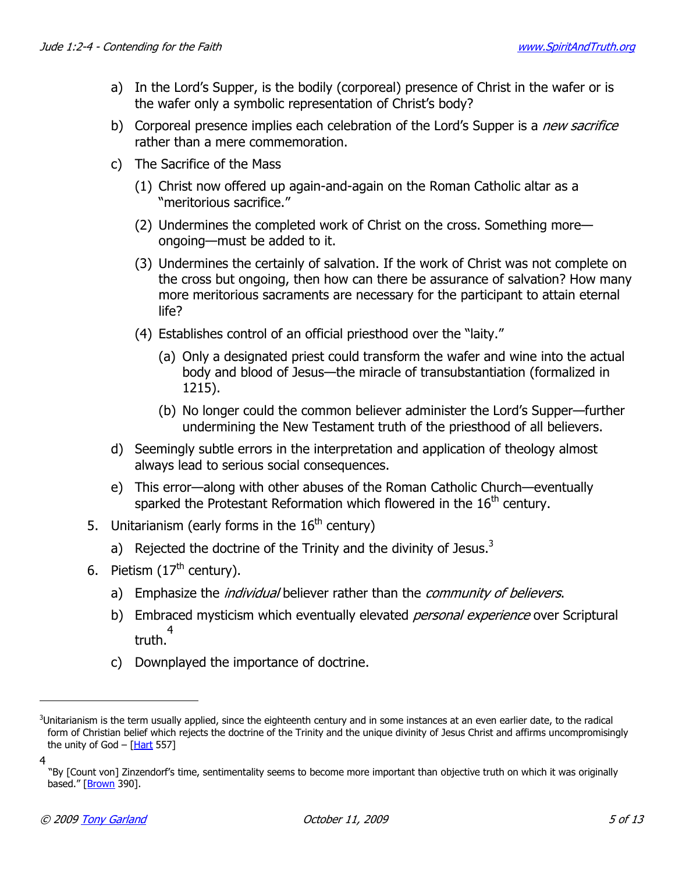- a) In the Lord's Supper, is the bodily (corporeal) presence of Christ in the wafer or is the wafer only a symbolic representation of Christ's body?
- b) Corporeal presence implies each celebration of the Lord's Supper is a new sacrifice rather than a mere commemoration.
- c) The Sacrifice of the Mass
	- (1) Christ now offered up again-and-again on the Roman Catholic altar as a "meritorious sacrifice."
	- (2) Undermines the completed work of Christ on the cross. Something more ongoing—must be added to it.
	- (3) Undermines the certainly of salvation. If the work of Christ was not complete on the cross but ongoing, then how can there be assurance of salvation? How many more meritorious sacraments are necessary for the participant to attain eternal life?
	- (4) Establishes control of an official priesthood over the "laity."
		- (a) Only a designated priest could transform the wafer and wine into the actual body and blood of Jesus—the miracle of transubstantiation (formalized in 1215).
		- (b) No longer could the common believer administer the Lord's Supper—further undermining the New Testament truth of the priesthood of all believers.
- d) Seemingly subtle errors in the interpretation and application of theology almost always lead to serious social consequences.
- e) This error—along with other abuses of the Roman Catholic Church—eventually sparked the Protestant Reformation which flowered in the  $16<sup>th</sup>$  century.
- 5. Unitarianism (early forms in the  $16<sup>th</sup>$  century)
	- a) Rejected the doctrine of the Trinity and the divinity of Jesus. $3$
- 6. Pietism  $(17<sup>th</sup>$  century).
	- a) Emphasize the *individual* believer rather than the *community of believers*.
	- b) Embraced mysticism which eventually elevated *personal experience* over Scriptural truth. 4
	- c) Downplayed the importance of doctrine.

 $\overline{a}$ 

 $3$ Unitarianism is the term usually applied, since the eighteenth century and in some instances at an even earlier date, to the radical form of Christian belief which rejects the doctrine of the Trinity and the unique divinity of Jesus Christ and affirms uncompromisingly the unity of God  $-$  [Hart 557]

<sup>4</sup>

 <sup>&</sup>quot;By [Count von] Zinzendorf's time, sentimentality seems to become more important than objective truth on which it was originally based." [Brown 390].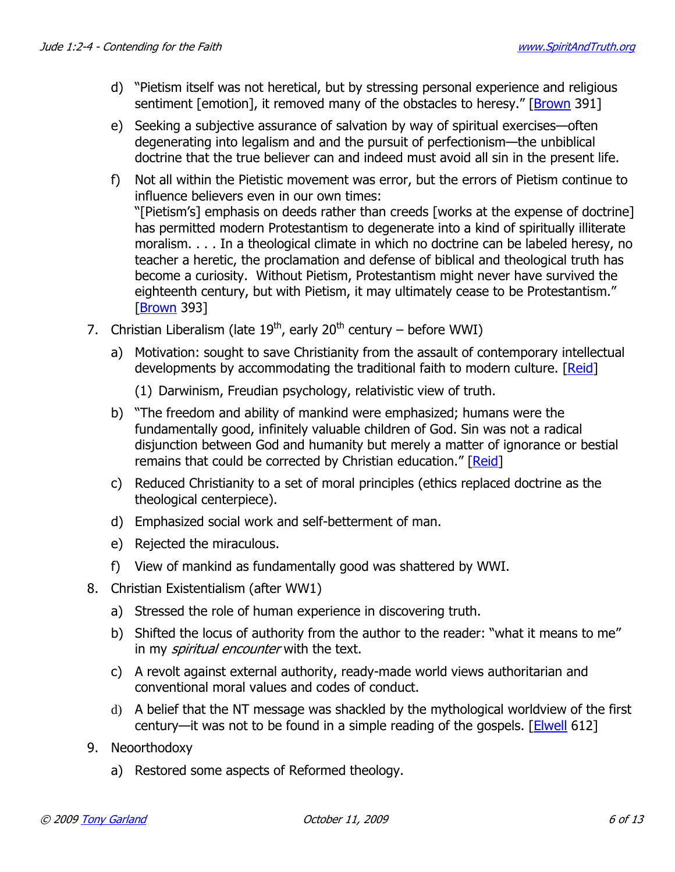- d) "Pietism itself was not heretical, but by stressing personal experience and religious sentiment [emotion], it removed many of the obstacles to heresy." [Brown 391]
- e) Seeking a subjective assurance of salvation by way of spiritual exercises—often degenerating into legalism and and the pursuit of perfectionism—the unbiblical doctrine that the true believer can and indeed must avoid all sin in the present life.
- f) Not all within the Pietistic movement was error, but the errors of Pietism continue to influence believers even in our own times: "[Pietism's] emphasis on deeds rather than creeds [works at the expense of doctrine] has permitted modern Protestantism to degenerate into a kind of spiritually illiterate moralism. . . . In a theological climate in which no doctrine can be labeled heresy, no teacher a heretic, the proclamation and defense of biblical and theological truth has become a curiosity. Without Pietism, Protestantism might never have survived the eighteenth century, but with Pietism, it may ultimately cease to be Protestantism." [Brown 393]
- 7. Christian Liberalism (late  $19^{th}$ , early  $20^{th}$  century before WWI)
	- a) Motivation: sought to save Christianity from the assault of contemporary intellectual developments by accommodating the traditional faith to modern culture. [Reid]
		- (1) Darwinism, Freudian psychology, relativistic view of truth.
	- b) "The freedom and ability of mankind were emphasized; humans were the fundamentally good, infinitely valuable children of God. Sin was not a radical disjunction between God and humanity but merely a matter of ignorance or bestial remains that could be corrected by Christian education." [Reid]
	- c) Reduced Christianity to a set of moral principles (ethics replaced doctrine as the theological centerpiece).
	- d) Emphasized social work and self-betterment of man.
	- e) Rejected the miraculous.
	- f) View of mankind as fundamentally good was shattered by WWI.
- 8. Christian Existentialism (after WW1)
	- a) Stressed the role of human experience in discovering truth.
	- b) Shifted the locus of authority from the author to the reader: "what it means to me" in my *spiritual encounter* with the text.
	- c) A revolt against external authority, ready-made world views authoritarian and conventional moral values and codes of conduct.
	- d) A belief that the NT message was shackled by the mythological worldview of the first century—it was not to be found in a simple reading of the gospels.  $[Elwell 612]$
- 9. Neoorthodoxy
	- a) Restored some aspects of Reformed theology.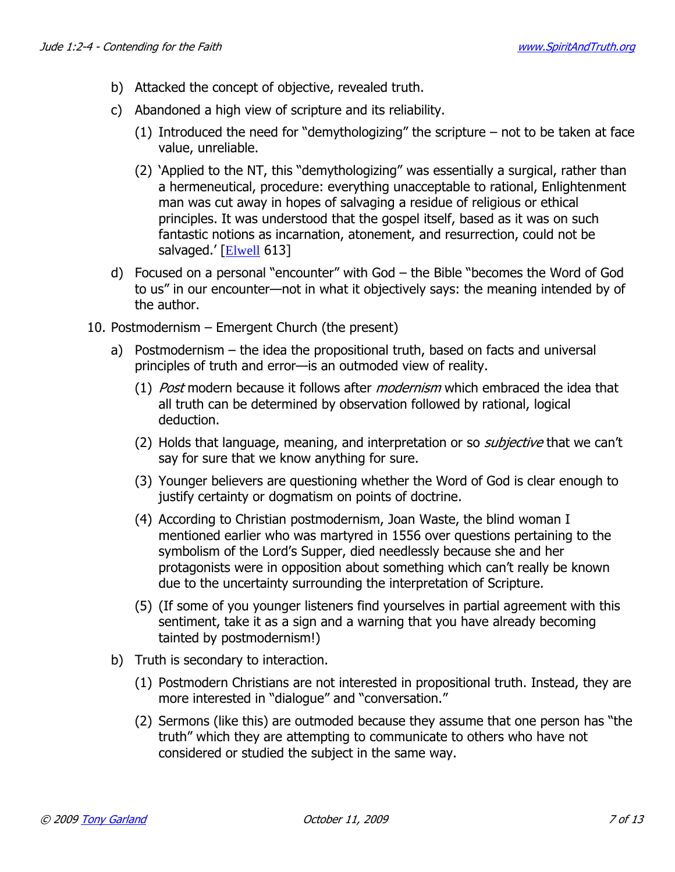- b) Attacked the concept of objective, revealed truth.
- c) Abandoned a high view of scripture and its reliability.
	- (1) Introduced the need for "demythologizing" the scripture not to be taken at face value, unreliable.
	- (2) 'Applied to the NT, this "demythologizing" was essentially a surgical, rather than a hermeneutical, procedure: everything unacceptable to rational, Enlightenment man was cut away in hopes of salvaging a residue of religious or ethical principles. It was understood that the gospel itself, based as it was on such fantastic notions as incarnation, atonement, and resurrection, could not be salvaged.' [Elwell 613]
- d) Focused on a personal "encounter" with God the Bible "becomes the Word of God to us" in our encounter—not in what it objectively says: the meaning intended by of the author.
- 10. Postmodernism Emergent Church (the present)
	- a) Postmodernism the idea the propositional truth, based on facts and universal principles of truth and error—is an outmoded view of reality.
		- (1) *Post* modern because it follows after *modernism* which embraced the idea that all truth can be determined by observation followed by rational, logical deduction.
		- (2) Holds that language, meaning, and interpretation or so *subjective* that we can't say for sure that we know anything for sure.
		- (3) Younger believers are questioning whether the Word of God is clear enough to justify certainty or dogmatism on points of doctrine.
		- (4) According to Christian postmodernism, Joan Waste, the blind woman I mentioned earlier who was martyred in 1556 over questions pertaining to the symbolism of the Lord's Supper, died needlessly because she and her protagonists were in opposition about something which can't really be known due to the uncertainty surrounding the interpretation of Scripture.
		- (5) (If some of you younger listeners find yourselves in partial agreement with this sentiment, take it as a sign and a warning that you have already becoming tainted by postmodernism!)
	- b) Truth is secondary to interaction.
		- (1) Postmodern Christians are not interested in propositional truth. Instead, they are more interested in "dialogue" and "conversation."
		- (2) Sermons (like this) are outmoded because they assume that one person has "the truth" which they are attempting to communicate to others who have not considered or studied the subject in the same way.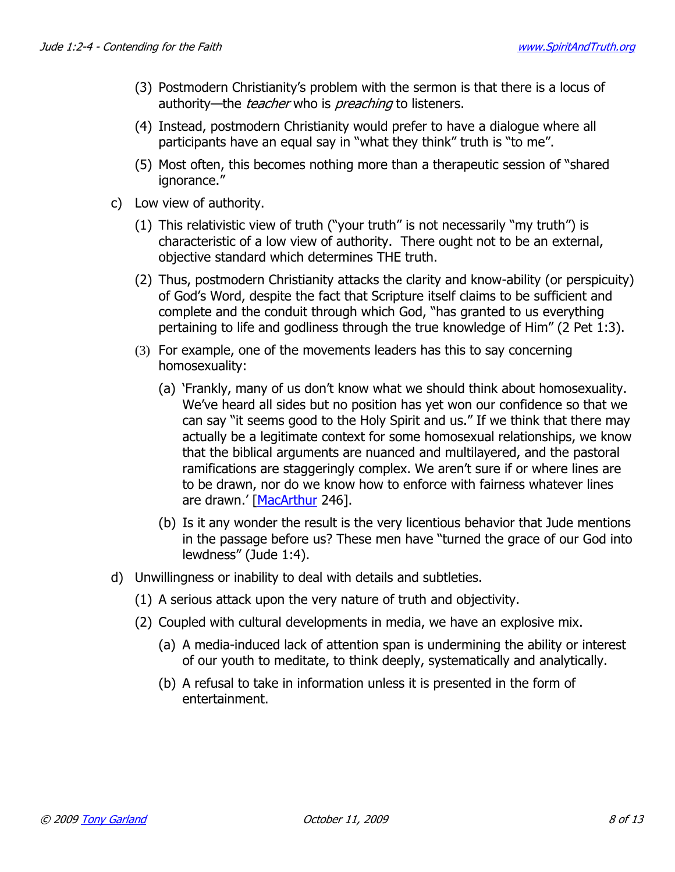- (3) Postmodern Christianity's problem with the sermon is that there is a locus of authority—the *teacher* who is *preaching* to listeners.
- (4) Instead, postmodern Christianity would prefer to have a dialogue where all participants have an equal say in "what they think" truth is "to me".
- (5) Most often, this becomes nothing more than a therapeutic session of "shared ignorance."
- c) Low view of authority.
	- (1) This relativistic view of truth ("your truth" is not necessarily "my truth") is characteristic of a low view of authority. There ought not to be an external, objective standard which determines THE truth.
	- (2) Thus, postmodern Christianity attacks the clarity and know-ability (or perspicuity) of God's Word, despite the fact that Scripture itself claims to be sufficient and complete and the conduit through which God, "has granted to us everything pertaining to life and godliness through the true knowledge of Him" (2 Pet 1:3).
	- (3) For example, one of the movements leaders has this to say concerning homosexuality:
		- (a) 'Frankly, many of us don't know what we should think about homosexuality. We've heard all sides but no position has yet won our confidence so that we can say "it seems good to the Holy Spirit and us." If we think that there may actually be a legitimate context for some homosexual relationships, we know that the biblical arguments are nuanced and multilayered, and the pastoral ramifications are staggeringly complex. We aren't sure if or where lines are to be drawn, nor do we know how to enforce with fairness whatever lines are drawn.' [MacArthur 246].
		- (b) Is it any wonder the result is the very licentious behavior that Jude mentions in the passage before us? These men have "turned the grace of our God into lewdness" (Jude 1:4).
- d) Unwillingness or inability to deal with details and subtleties.
	- (1) A serious attack upon the very nature of truth and objectivity.
	- (2) Coupled with cultural developments in media, we have an explosive mix.
		- (a) A media-induced lack of attention span is undermining the ability or interest of our youth to meditate, to think deeply, systematically and analytically.
		- (b) A refusal to take in information unless it is presented in the form of entertainment.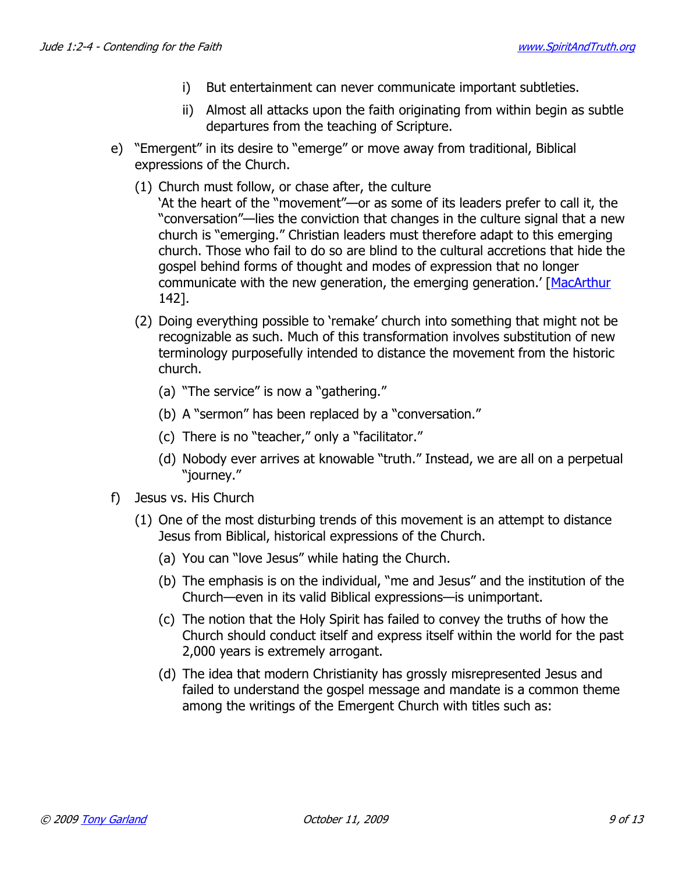- i) But entertainment can never communicate important subtleties.
- ii) Almost all attacks upon the faith originating from within begin as subtle departures from the teaching of Scripture.
- e) "Emergent" in its desire to "emerge" or move away from traditional, Biblical expressions of the Church.
	- (1) Church must follow, or chase after, the culture
		- 'At the heart of the "movement"—or as some of its leaders prefer to call it, the "conversation"—lies the conviction that changes in the culture signal that a new church is "emerging." Christian leaders must therefore adapt to this emerging church. Those who fail to do so are blind to the cultural accretions that hide the gospel behind forms of thought and modes of expression that no longer communicate with the new generation, the emerging generation.' [MacArthur 142].
	- (2) Doing everything possible to 'remake' church into something that might not be recognizable as such. Much of this transformation involves substitution of new terminology purposefully intended to distance the movement from the historic church.
		- (a) "The service" is now a "gathering."
		- (b) A "sermon" has been replaced by a "conversation."
		- (c) There is no "teacher," only a "facilitator."
		- (d) Nobody ever arrives at knowable "truth." Instead, we are all on a perpetual "journey."
- f) Jesus vs. His Church
	- (1) One of the most disturbing trends of this movement is an attempt to distance Jesus from Biblical, historical expressions of the Church.
		- (a) You can "love Jesus" while hating the Church.
		- (b) The emphasis is on the individual, "me and Jesus" and the institution of the Church—even in its valid Biblical expressions—is unimportant.
		- (c) The notion that the Holy Spirit has failed to convey the truths of how the Church should conduct itself and express itself within the world for the past 2,000 years is extremely arrogant.
		- (d) The idea that modern Christianity has grossly misrepresented Jesus and failed to understand the gospel message and mandate is a common theme among the writings of the Emergent Church with titles such as: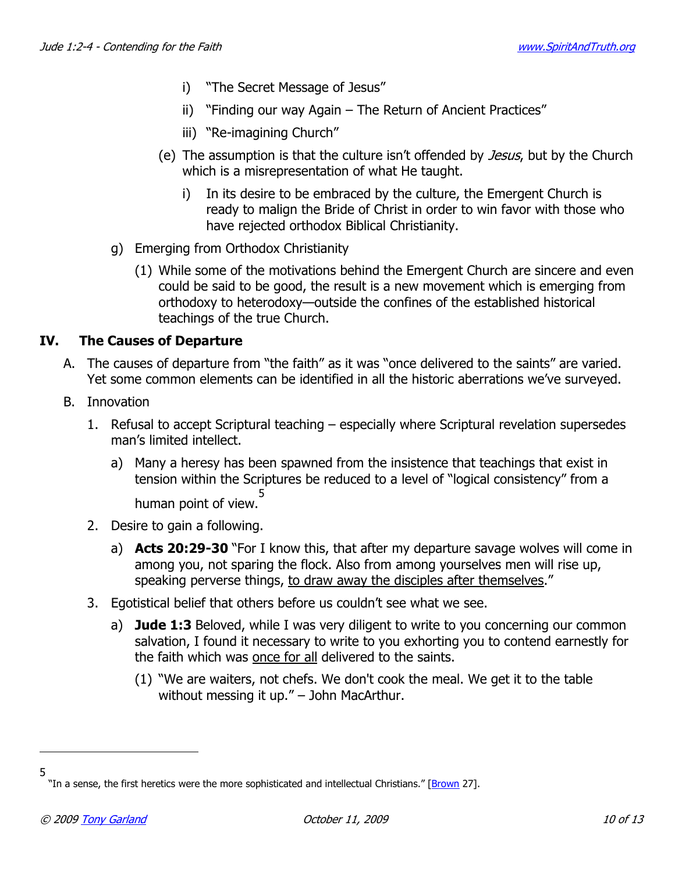- i) "The Secret Message of Jesus"
- ii) "Finding our way Again The Return of Ancient Practices"
- iii) "Re-imagining Church"
- (e) The assumption is that the culture isn't offended by *Jesus*, but by the Church which is a misrepresentation of what He taught.
	- i) In its desire to be embraced by the culture, the Emergent Church is ready to malign the Bride of Christ in order to win favor with those who have rejected orthodox Biblical Christianity.
- g) Emerging from Orthodox Christianity
	- (1) While some of the motivations behind the Emergent Church are sincere and even could be said to be good, the result is a new movement which is emerging from orthodoxy to heterodoxy—outside the confines of the established historical teachings of the true Church.

## **IV. The Causes of Departure**

- A. The causes of departure from "the faith" as it was "once delivered to the saints" are varied. Yet some common elements can be identified in all the historic aberrations we've surveyed.
- B. Innovation
	- 1. Refusal to accept Scriptural teaching especially where Scriptural revelation supersedes man's limited intellect.
		- a) Many a heresy has been spawned from the insistence that teachings that exist in tension within the Scriptures be reduced to a level of "logical consistency" from a human point of view. 5
	- 2. Desire to gain a following.
		- a) **Acts 20:29-30** "For I know this, that after my departure savage wolves will come in among you, not sparing the flock. Also from among yourselves men will rise up, speaking perverse things, to draw away the disciples after themselves."
	- 3. Egotistical belief that others before us couldn't see what we see.
		- a) **Jude 1:3** Beloved, while I was very diligent to write to you concerning our common salvation, I found it necessary to write to you exhorting you to contend earnestly for the faith which was once for all delivered to the saints.
			- (1) "We are waiters, not chefs. We don't cook the meal. We get it to the table without messing it up." – John MacArthur.

-5

<sup>&</sup>quot;In a sense, the first heretics were the more sophisticated and intellectual Christians." [Brown 27].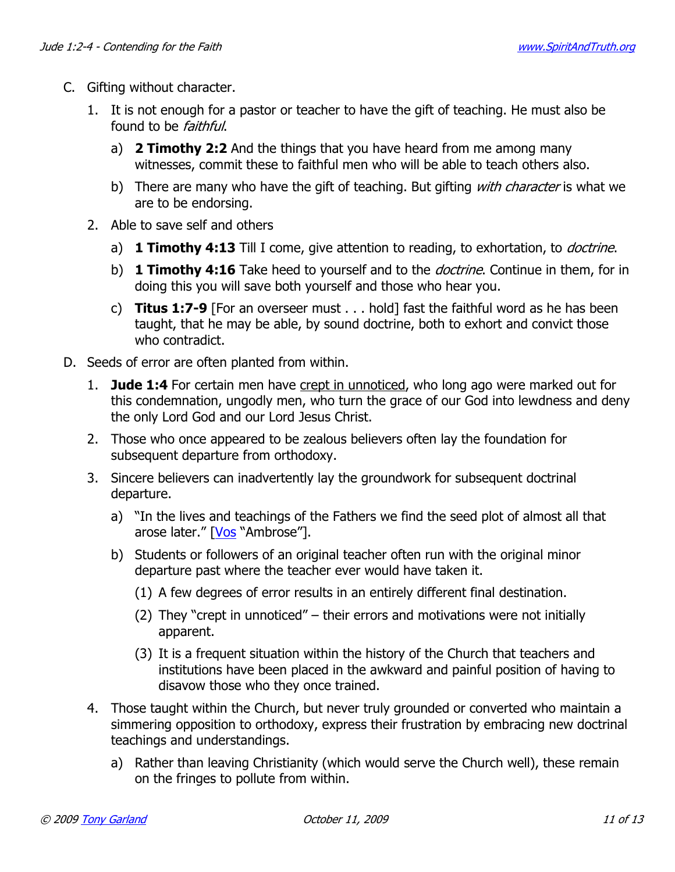- C. Gifting without character.
	- 1. It is not enough for a pastor or teacher to have the gift of teaching. He must also be found to be faithful.
		- a) **2 Timothy 2:2** And the things that you have heard from me among many witnesses, commit these to faithful men who will be able to teach others also.
		- b) There are many who have the gift of teaching. But gifting with character is what we are to be endorsing.
	- 2. Able to save self and others
		- a) **1 Timothy 4:13** Till I come, give attention to reading, to exhortation, to doctrine.
		- b) **1 Timothy 4:16** Take heed to yourself and to the *doctrine*. Continue in them, for in doing this you will save both yourself and those who hear you.
		- c) **Titus 1:7-9** [For an overseer must . . . hold] fast the faithful word as he has been taught, that he may be able, by sound doctrine, both to exhort and convict those who contradict.
- D. Seeds of error are often planted from within.
	- 1. **Jude 1:4** For certain men have crept in unnoticed, who long ago were marked out for this condemnation, ungodly men, who turn the grace of our God into lewdness and deny the only Lord God and our Lord Jesus Christ.
	- 2. Those who once appeared to be zealous believers often lay the foundation for subsequent departure from orthodoxy.
	- 3. Sincere believers can inadvertently lay the groundwork for subsequent doctrinal departure.
		- a) "In the lives and teachings of the Fathers we find the seed plot of almost all that arose later." [Vos "Ambrose"].
		- b) Students or followers of an original teacher often run with the original minor departure past where the teacher ever would have taken it.
			- (1) A few degrees of error results in an entirely different final destination.
			- (2) They "crept in unnoticed" their errors and motivations were not initially apparent.
			- (3) It is a frequent situation within the history of the Church that teachers and institutions have been placed in the awkward and painful position of having to disavow those who they once trained.
	- 4. Those taught within the Church, but never truly grounded or converted who maintain a simmering opposition to orthodoxy, express their frustration by embracing new doctrinal teachings and understandings.
		- a) Rather than leaving Christianity (which would serve the Church well), these remain on the fringes to pollute from within.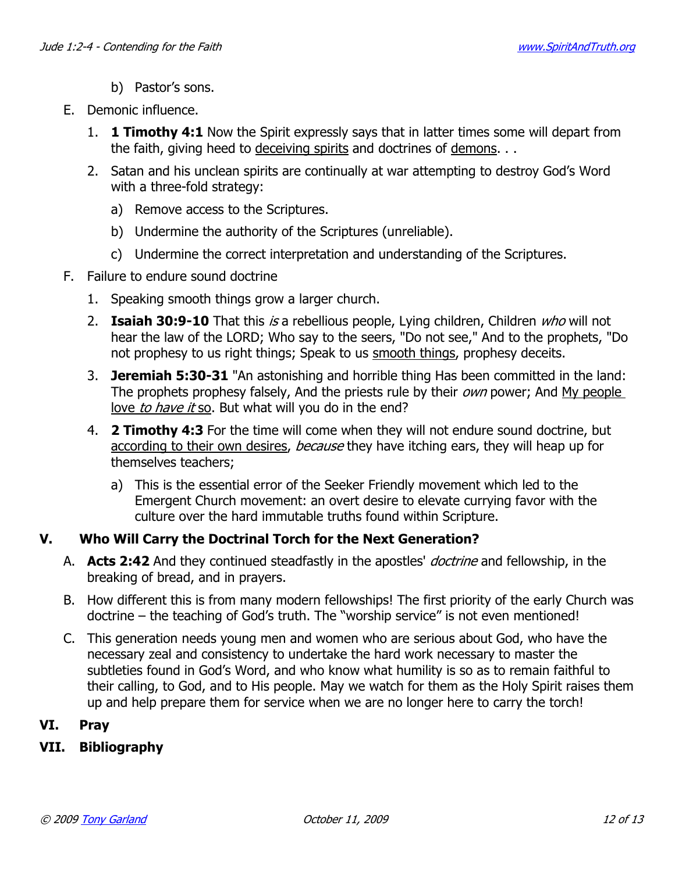- b) Pastor's sons.
- E. Demonic influence.
	- 1. **1 Timothy 4:1** Now the Spirit expressly says that in latter times some will depart from the faith, giving heed to deceiving spirits and doctrines of demons. . .
	- 2. Satan and his unclean spirits are continually at war attempting to destroy God's Word with a three-fold strategy:
		- a) Remove access to the Scriptures.
		- b) Undermine the authority of the Scriptures (unreliable).
		- c) Undermine the correct interpretation and understanding of the Scriptures.
- F. Failure to endure sound doctrine
	- 1. Speaking smooth things grow a larger church.
	- 2. **Isaiah 30:9-10** That this is a rebellious people, Lying children, Children who will not hear the law of the LORD; Who say to the seers, "Do not see," And to the prophets, "Do not prophesy to us right things; Speak to us smooth things, prophesy deceits.
	- 3. **Jeremiah 5:30-31** "An astonishing and horrible thing Has been committed in the land: The prophets prophesy falsely, And the priests rule by their *own* power; And My people love to have it so. But what will you do in the end?
	- 4. **2 Timothy 4:3** For the time will come when they will not endure sound doctrine, but according to their own desires, *because* they have itching ears, they will heap up for themselves teachers;
		- a) This is the essential error of the Seeker Friendly movement which led to the Emergent Church movement: an overt desire to elevate currying favor with the culture over the hard immutable truths found within Scripture.

### **V. Who Will Carry the Doctrinal Torch for the Next Generation?**

- A. **Acts 2:42** And they continued steadfastly in the apostles' doctrine and fellowship, in the breaking of bread, and in prayers.
- B. How different this is from many modern fellowships! The first priority of the early Church was doctrine – the teaching of God's truth. The "worship service" is not even mentioned!
- C. This generation needs young men and women who are serious about God, who have the necessary zeal and consistency to undertake the hard work necessary to master the subtleties found in God's Word, and who know what humility is so as to remain faithful to their calling, to God, and to His people. May we watch for them as the Holy Spirit raises them up and help prepare them for service when we are no longer here to carry the torch!

### **VI. Pray**

### **VII. Bibliography**